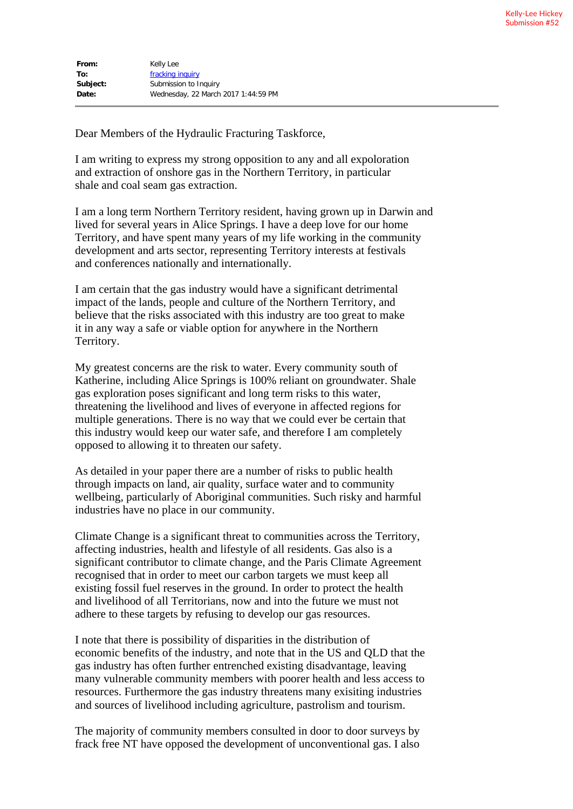| From:    | Kelly Lee                           |
|----------|-------------------------------------|
| To:      | fracking inquiry                    |
| Subject: | Submission to Inquiry               |
| Date:    | Wednesday, 22 March 2017 1:44:59 PM |

Dear Members of the Hydraulic Fracturing Taskforce,

I am writing to express my strong opposition to any and all expoloration and extraction of onshore gas in the Northern Territory, in particular shale and coal seam gas extraction.

I am a long term Northern Territory resident, having grown up in Darwin and lived for several years in Alice Springs. I have a deep love for our home Territory, and have spent many years of my life working in the community development and arts sector, representing Territory interests at festivals and conferences nationally and internationally.

I am certain that the gas industry would have a significant detrimental impact of the lands, people and culture of the Northern Territory, and believe that the risks associated with this industry are too great to make it in any way a safe or viable option for anywhere in the Northern Territory.

My greatest concerns are the risk to water. Every community south of Katherine, including Alice Springs is 100% reliant on groundwater. Shale gas exploration poses significant and long term risks to this water, threatening the livelihood and lives of everyone in affected regions for multiple generations. There is no way that we could ever be certain that this industry would keep our water safe, and therefore I am completely opposed to allowing it to threaten our safety.

As detailed in your paper there are a number of risks to public health through impacts on land, air quality, surface water and to community wellbeing, particularly of Aboriginal communities. Such risky and harmful industries have no place in our community.

Climate Change is a significant threat to communities across the Territory, affecting industries, health and lifestyle of all residents. Gas also is a significant contributor to climate change, and the Paris Climate Agreement recognised that in order to meet our carbon targets we must keep all existing fossil fuel reserves in the ground. In order to protect the health and livelihood of all Territorians, now and into the future we must not adhere to these targets by refusing to develop our gas resources.

I note that there is possibility of disparities in the distribution of economic benefits of the industry, and note that in the US and QLD that the gas industry has often further entrenched existing disadvantage, leaving many vulnerable community members with poorer health and less access to resources. Furthermore the gas industry threatens many exisiting industries and sources of livelihood including agriculture, pastrolism and tourism.

The majority of community members consulted in door to door surveys by frack free NT have opposed the development of unconventional gas. I also